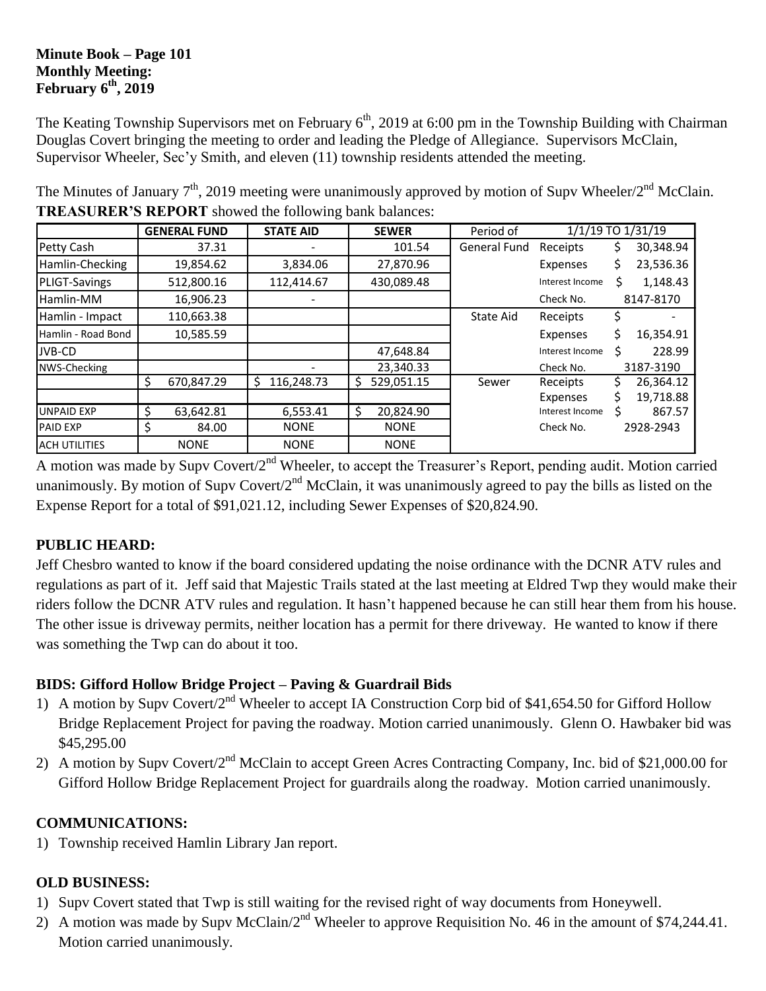#### **Minute Book – Page 101 Monthly Meeting: February 6 th, 2019**

The Keating Township Supervisors met on February 6<sup>th</sup>, 2019 at 6:00 pm in the Township Building with Chairman Douglas Covert bringing the meeting to order and leading the Pledge of Allegiance. Supervisors McClain, Supervisor Wheeler, Sec'y Smith, and eleven (11) township residents attended the meeting.

|                      |   | <b>GENERAL FUND</b> | <b>STATE AID</b> |    | <b>SEWER</b> | Period of           | 1/1/19 TO 1/31/19 |    |           |
|----------------------|---|---------------------|------------------|----|--------------|---------------------|-------------------|----|-----------|
| Petty Cash           |   | 37.31               |                  |    | 101.54       | <b>General Fund</b> | Receipts          | Ş  | 30,348.94 |
| Hamlin-Checking      |   | 19,854.62           | 3,834.06         |    | 27,870.96    |                     | Expenses          | \$ | 23,536.36 |
| PLIGT-Savings        |   | 512,800.16          | 112,414.67       |    | 430,089.48   |                     | Interest Income   | Ś  | 1,148.43  |
| Hamlin-MM            |   | 16,906.23           |                  |    |              |                     | Check No.         |    | 8147-8170 |
| Hamlin - Impact      |   | 110,663.38          |                  |    |              | State Aid           | Receipts          |    |           |
| Hamlin - Road Bond   |   | 10,585.59           |                  |    |              |                     | Expenses          | Ś  | 16,354.91 |
| JVB-CD               |   |                     |                  |    | 47,648.84    |                     | Interest Income   | Ś  | 228.99    |
| NWS-Checking         |   |                     |                  |    | 23,340.33    |                     | Check No.         |    | 3187-3190 |
|                      | S | 670,847.29          | 116,248.73<br>S  | S  | 529,051.15   | Sewer               | Receipts          |    | 26,364.12 |
|                      |   |                     |                  |    |              |                     | Expenses          |    | 19,718.88 |
| <b>UNPAID EXP</b>    | S | 63,642.81           | 6,553.41         | Ŝ. | 20,824.90    |                     | Interest Income   |    | 867.57    |
| <b>PAID EXP</b>      | Ş | 84.00               | <b>NONE</b>      |    | <b>NONE</b>  |                     | Check No.         |    | 2928-2943 |
| <b>ACH UTILITIES</b> |   | <b>NONE</b>         | <b>NONE</b>      |    | <b>NONE</b>  |                     |                   |    |           |

The Minutes of January  $7<sup>th</sup>$ , 2019 meeting were unanimously approved by motion of Supv Wheeler/2<sup>nd</sup> McClain. **TREASURER'S REPORT** showed the following bank balances:

A motion was made by Supv Covert/2<sup>nd</sup> Wheeler, to accept the Treasurer's Report, pending audit. Motion carried unanimously. By motion of Supy Covert/ $2<sup>nd</sup>$  McClain, it was unanimously agreed to pay the bills as listed on the Expense Report for a total of \$91,021.12, including Sewer Expenses of \$20,824.90.

### **PUBLIC HEARD:**

Jeff Chesbro wanted to know if the board considered updating the noise ordinance with the DCNR ATV rules and regulations as part of it. Jeff said that Majestic Trails stated at the last meeting at Eldred Twp they would make their riders follow the DCNR ATV rules and regulation. It hasn't happened because he can still hear them from his house. The other issue is driveway permits, neither location has a permit for there driveway. He wanted to know if there was something the Twp can do about it too.

## **BIDS: Gifford Hollow Bridge Project – Paving & Guardrail Bids**

- 1) A motion by Supv Covert/2<sup>nd</sup> Wheeler to accept IA Construction Corp bid of \$41,654.50 for Gifford Hollow Bridge Replacement Project for paving the roadway. Motion carried unanimously. Glenn O. Hawbaker bid was \$45,295.00
- 2) A motion by Supv Covert/2<sup>nd</sup> McClain to accept Green Acres Contracting Company, Inc. bid of \$21,000.00 for Gifford Hollow Bridge Replacement Project for guardrails along the roadway. Motion carried unanimously.

## **COMMUNICATIONS:**

1) Township received Hamlin Library Jan report.

# **OLD BUSINESS:**

- 1) Supv Covert stated that Twp is still waiting for the revised right of way documents from Honeywell.
- 2) A motion was made by Supv McClain/ $2^{nd}$  Wheeler to approve Requisition No. 46 in the amount of \$74,244.41. Motion carried unanimously.